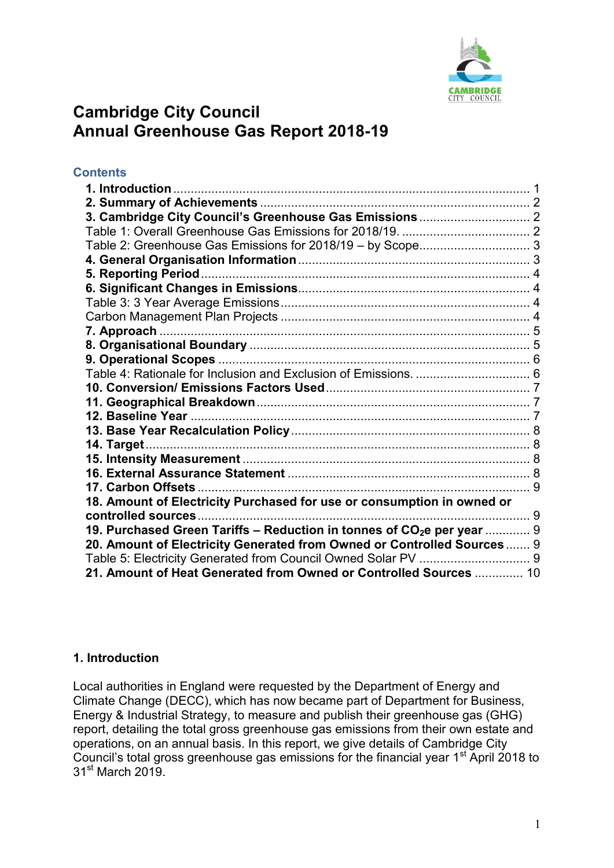

# **Cambridge City Council Annual Greenhouse Gas Report 2018-19**

## **Contents**

| 14. Target                                                                         |  |
|------------------------------------------------------------------------------------|--|
|                                                                                    |  |
|                                                                                    |  |
|                                                                                    |  |
| 18. Amount of Electricity Purchased for use or consumption in owned or             |  |
|                                                                                    |  |
| 19. Purchased Green Tariffs – Reduction in tonnes of CO <sub>2</sub> e per year  9 |  |
| 20. Amount of Electricity Generated from Owned or Controlled Sources 9             |  |
|                                                                                    |  |
| 21. Amount of Heat Generated from Owned or Controlled Sources  10                  |  |

## <span id="page-0-0"></span>**1. Introduction**

Local authorities in England were requested by the Department of Energy and Climate Change (DECC), which has now became part of Department for Business, Energy & Industrial Strategy, to measure and publish their greenhouse gas (GHG) report, detailing the total gross greenhouse gas emissions from their own estate and operations, on an annual basis. In this report, we give details of Cambridge City Council's total gross greenhouse gas emissions for the financial year  $1<sup>st</sup>$  April 2018 to 31<sup>st</sup> March 2019.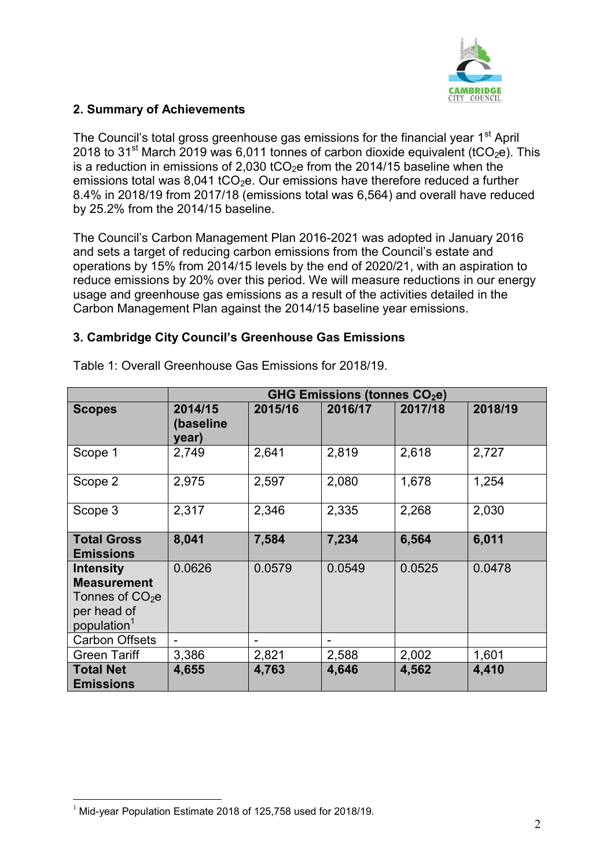

## <span id="page-1-0"></span>**2. Summary of Achievements**

The Council's total gross greenhouse gas emissions for the financial year 1<sup>st</sup> April 2018 to 31<sup>st</sup> March 2019 was 6,011 tonnes of carbon dioxide equivalent (tCO<sub>2</sub>e). This is a reduction in emissions of 2,030 tCO<sub>2</sub>e from the 2014/15 baseline when the emissions total was 8,041 tCO<sub>2</sub>e. Our emissions have therefore reduced a further 8.4% in 2018/19 from 2017/18 (emissions total was 6,564) and overall have reduced by 25.2% from the 2014/15 baseline.

The Council's Carbon Management Plan 2016-2021 was adopted in January 2016 and sets a target of reducing carbon emissions from the Council's estate and operations by 15% from 2014/15 levels by the end of 2020/21, with an aspiration to reduce emissions by 20% over this period. We will measure reductions in our energy usage and greenhouse gas emissions as a result of the activities detailed in the Carbon Management Plan against the 2014/15 baseline year emissions.

## <span id="page-1-1"></span>**3. Cambridge City Council's Greenhouse Gas Emissions**

|                                                                                                      | <b>GHG Emissions (tonnes CO2e)</b> |                 |         |         |         |
|------------------------------------------------------------------------------------------------------|------------------------------------|-----------------|---------|---------|---------|
| <b>Scopes</b>                                                                                        | 2014/15<br>(baseline<br>year)      | 2015/16         | 2016/17 | 2017/18 | 2018/19 |
| Scope 1                                                                                              | 2,749                              | 2,641           | 2,819   | 2,618   | 2,727   |
| Scope 2                                                                                              | 2,975                              | 2,597           | 2,080   | 1,678   | 1,254   |
| Scope 3                                                                                              | 2,317                              | 2,346           | 2,335   | 2,268   | 2,030   |
| <b>Total Gross</b><br><b>Emissions</b>                                                               | 8,041                              | 7,584           | 7,234   | 6,564   | 6,011   |
| <b>Intensity</b><br><b>Measurement</b><br>Tonnes of $CO2e$<br>per head of<br>population <sup>1</sup> | 0.0626                             | 0.0579          | 0.0549  | 0.0525  | 0.0478  |
| <b>Carbon Offsets</b>                                                                                |                                    | $\qquad \qquad$ |         |         |         |
| <b>Green Tariff</b>                                                                                  | 3,386                              | 2,821           | 2,588   | 2,002   | 1,601   |
| <b>Total Net</b><br><b>Emissions</b>                                                                 | 4,655                              | 4,763           | 4,646   | 4,562   | 4,410   |

<span id="page-1-2"></span>Table 1: Overall Greenhouse Gas Emissions for 2018/19.

 $\overline{a}$  $1$  Mid-year Population Estimate 2018 of 125,758 used for 2018/19.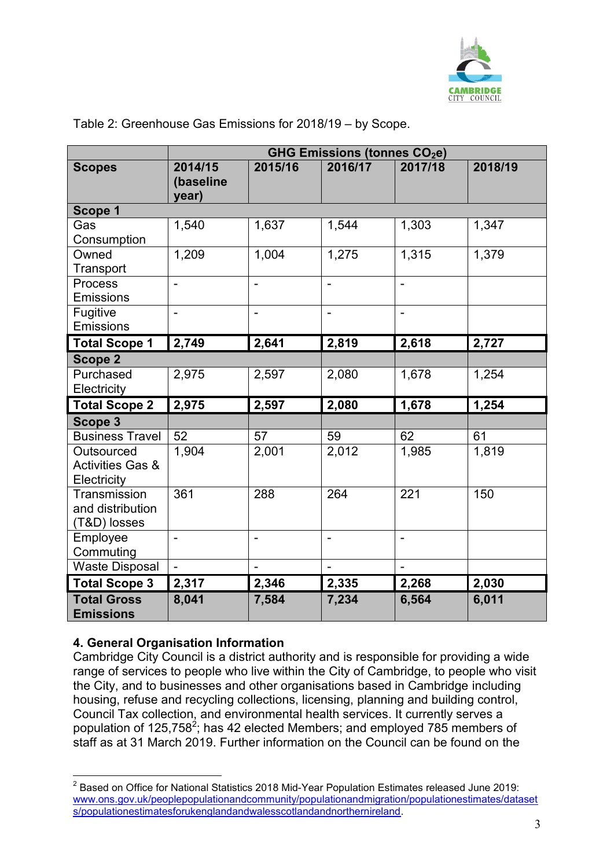

|                                                          | GHG Emissions (tonnes CO <sub>2</sub> e) |                          |                   |                |         |
|----------------------------------------------------------|------------------------------------------|--------------------------|-------------------|----------------|---------|
| <b>Scopes</b>                                            | 2014/15<br>(baseline<br>year)            | 2015/16                  | 2016/17           | 2017/18        | 2018/19 |
| Scope 1                                                  |                                          |                          |                   |                |         |
| Gas<br>Consumption                                       | 1,540                                    | 1,637                    | 1,544             | 1,303          | 1,347   |
| Owned<br>Transport                                       | 1,209                                    | 1,004                    | 1,275             | 1,315          | 1,379   |
| <b>Process</b><br><b>Emissions</b>                       |                                          | $\qquad \qquad -$        | $\qquad \qquad -$ | $\frac{1}{2}$  |         |
| Fugitive<br>Emissions                                    | $\overline{\phantom{0}}$                 | $\overline{\phantom{a}}$ | $\qquad \qquad -$ | $\blacksquare$ |         |
| <b>Total Scope 1</b>                                     | 2,749                                    | 2,641                    | 2,819             | 2,618          | 2,727   |
| Scope 2                                                  |                                          |                          |                   |                |         |
| Purchased<br>Electricity                                 | 2,975                                    | 2,597                    | 2,080             | 1,678          | 1,254   |
| <b>Total Scope 2</b>                                     | 2,975                                    | 2,597                    | 2,080             | 1,678          | 1,254   |
| Scope 3                                                  |                                          |                          |                   |                |         |
| <b>Business Travel</b>                                   | 52                                       | 57                       | 59                | 62             | 61      |
| Outsourced<br><b>Activities Gas &amp;</b><br>Electricity | 1,904                                    | 2,001                    | 2,012             | 1,985          | 1,819   |
| Transmission<br>and distribution<br>(T&D) losses         | 361                                      | 288                      | 264               | 221            | 150     |
| Employee<br>Commuting                                    | $\overline{a}$                           | $\blacksquare$           |                   |                |         |
| <b>Waste Disposal</b>                                    | $\blacksquare$                           | $\overline{\phantom{a}}$ | $\qquad \qquad -$ | $\blacksquare$ |         |
| <b>Total Scope 3</b>                                     | 2,317                                    | 2,346                    | 2,335             | 2,268          | 2,030   |
| <b>Total Gross</b><br><b>Emissions</b>                   | 8,041                                    | 7,584                    | 7,234             | 6,564          | 6,011   |

#### <span id="page-2-0"></span>Table 2: Greenhouse Gas Emissions for 2018/19 – by Scope.

## <span id="page-2-1"></span>**4. General Organisation Information**

 $\overline{a}$ 

Cambridge City Council is a district authority and is responsible for providing a wide range of services to people who live within the City of Cambridge, to people who visit the City, and to businesses and other organisations based in Cambridge including housing, refuse and recycling collections, licensing, planning and building control, Council Tax collection, and environmental health services. It currently serves a population of 125,758<sup>2</sup>; has 42 elected Members; and employed 785 members of staff as at 31 March 2019. Further information on the Council can be found on the

 $2$  Based on Office for National Statistics 2018 Mid-Year Population Estimates released June 2019: [www.ons.gov.uk/peoplepopulationandcommunity/populationandmigration/populationestimates/dataset](www.ons.gov.uk/peoplepopulationandcommunity/populationandmigration/populationestimates/datasets/populationestimatesforukenglandandwalesscotlandandnorthernireland) [s/populationestimatesforukenglandandwalesscotlandandnorthernireland.](www.ons.gov.uk/peoplepopulationandcommunity/populationandmigration/populationestimates/datasets/populationestimatesforukenglandandwalesscotlandandnorthernireland)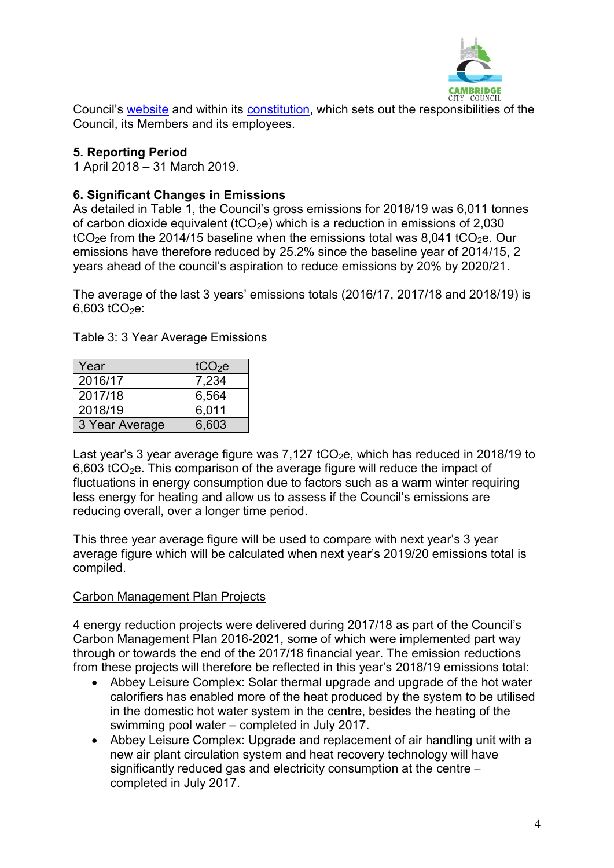

Council's [website](http://www.cambridge.gov.uk/) and within its [constitution,](https://www.cambridge.gov.uk/constitution) which sets out the responsibilities of the Council, its Members and its employees.

## <span id="page-3-0"></span>**5. Reporting Period**

1 April 2018 – 31 March 2019.

## <span id="page-3-1"></span>**6. Significant Changes in Emissions**

As detailed in Table 1, the Council's gross emissions for 2018/19 was 6,011 tonnes of carbon dioxide equivalent (tCO<sub>2</sub>e) which is a reduction in emissions of 2,030  $tCO<sub>2</sub>e$  from the 2014/15 baseline when the emissions total was 8,041 tCO<sub>2</sub>e. Our emissions have therefore reduced by 25.2% since the baseline year of 2014/15, 2 years ahead of the council's aspiration to reduce emissions by 20% by 2020/21.

The average of the last 3 years' emissions totals (2016/17, 2017/18 and 2018/19) is  $6,603$  tCO<sub>2</sub>e:

<span id="page-3-2"></span>Table 3: 3 Year Average Emissions

| Year           | tCO <sub>2</sub> e |
|----------------|--------------------|
| 2016/17        | 7,234              |
| 2017/18        | 6,564              |
| 2018/19        | 6,011              |
| 3 Year Average | 6,603              |

Last year's 3 year average figure was  $7,127$  tCO<sub>2</sub>e, which has reduced in 2018/19 to 6,603 tCO<sub>2</sub>e. This comparison of the average figure will reduce the impact of fluctuations in energy consumption due to factors such as a warm winter requiring less energy for heating and allow us to assess if the Council's emissions are reducing overall, over a longer time period.

This three year average figure will be used to compare with next year's 3 year average figure which will be calculated when next year's 2019/20 emissions total is compiled.

## <span id="page-3-3"></span>Carbon Management Plan Projects

4 energy reduction projects were delivered during 2017/18 as part of the Council's Carbon Management Plan 2016-2021, some of which were implemented part way through or towards the end of the 2017/18 financial year. The emission reductions from these projects will therefore be reflected in this year's 2018/19 emissions total:

- Abbey Leisure Complex: Solar thermal upgrade and upgrade of the hot water calorifiers has enabled more of the heat produced by the system to be utilised in the domestic hot water system in the centre, besides the heating of the swimming pool water – completed in July 2017.
- Abbey Leisure Complex: Upgrade and replacement of air handling unit with a new air plant circulation system and heat recovery technology will have significantly reduced gas and electricity consumption at the centre – completed in July 2017.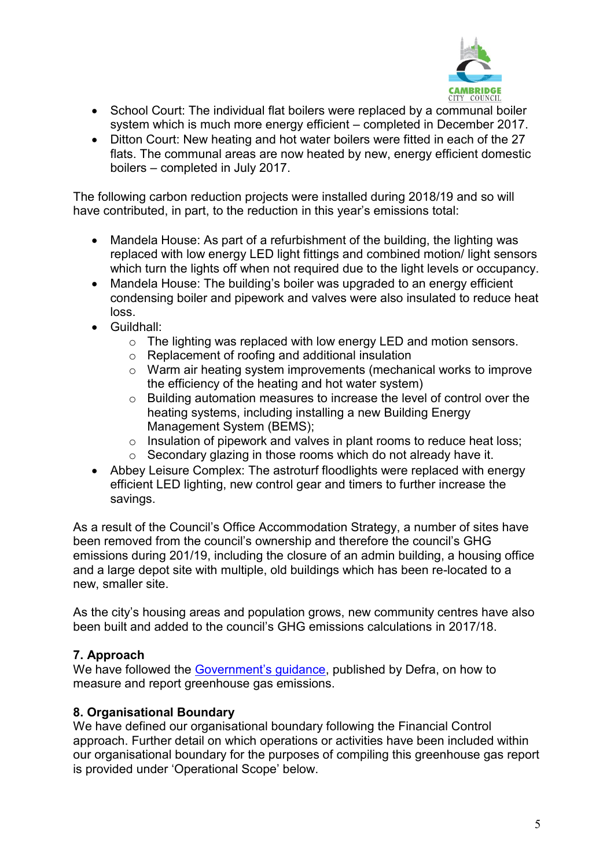

- School Court: The individual flat boilers were replaced by a communal boiler system which is much more energy efficient – completed in December 2017.
- Ditton Court: New heating and hot water boilers were fitted in each of the 27 flats. The communal areas are now heated by new, energy efficient domestic boilers – completed in July 2017.

The following carbon reduction projects were installed during 2018/19 and so will have contributed, in part, to the reduction in this year's emissions total:

- Mandela House: As part of a refurbishment of the building, the lighting was replaced with low energy LED light fittings and combined motion/ light sensors which turn the lights off when not required due to the light levels or occupancy.
- Mandela House: The building's boiler was upgraded to an energy efficient condensing boiler and pipework and valves were also insulated to reduce heat loss.
- Guildhall:
	- o The lighting was replaced with low energy LED and motion sensors.
	- o Replacement of roofing and additional insulation
	- o Warm air heating system improvements (mechanical works to improve the efficiency of the heating and hot water system)
	- o Building automation measures to increase the level of control over the heating systems, including installing a new Building Energy Management System (BEMS);
	- $\circ$  Insulation of pipework and valves in plant rooms to reduce heat loss;
	- o Secondary glazing in those rooms which do not already have it.
- Abbey Leisure Complex: The astroturf floodlights were replaced with energy efficient LED lighting, new control gear and timers to further increase the savings.

As a result of the Council's Office Accommodation Strategy, a number of sites have been removed from the council's ownership and therefore the council's GHG emissions during 201/19, including the closure of an admin building, a housing office and a large depot site with multiple, old buildings which has been re-located to a new, smaller site.

As the city's housing areas and population grows, new community centres have also been built and added to the council's GHG emissions calculations in 2017/18.

## <span id="page-4-0"></span>**7. Approach**

We have followed the [Government's guidance](https://www.gov.uk/measuring-and-reporting-environmental-impacts-guidance-for-businesses), published by Defra, on how to measure and report greenhouse gas emissions.

## <span id="page-4-1"></span>**8. Organisational Boundary**

We have defined our organisational boundary following the Financial Control approach. Further detail on which operations or activities have been included within our organisational boundary for the purposes of compiling this greenhouse gas report is provided under 'Operational Scope' below.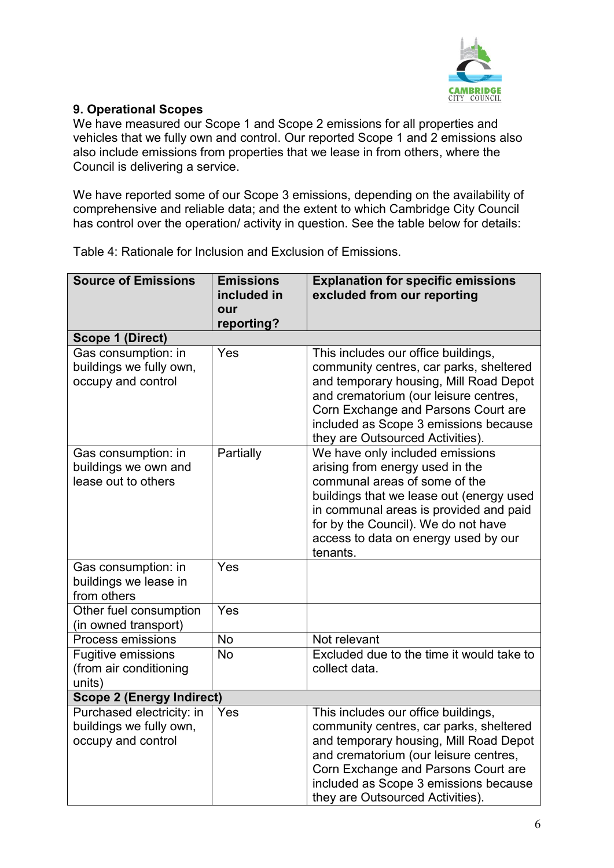

# <span id="page-5-0"></span>**9. Operational Scopes**

We have measured our Scope 1 and Scope 2 emissions for all properties and vehicles that we fully own and control. Our reported Scope 1 and 2 emissions also also include emissions from properties that we lease in from others, where the Council is delivering a service.

We have reported some of our Scope 3 emissions, depending on the availability of comprehensive and reliable data; and the extent to which Cambridge City Council has control over the operation/ activity in question. See the table below for details:

<span id="page-5-1"></span>Table 4: Rationale for Inclusion and Exclusion of Emissions.

| <b>Source of Emissions</b>                                                 | <b>Emissions</b><br>included in<br>our<br>reporting? | <b>Explanation for specific emissions</b><br>excluded from our reporting                                                                                                                                                                                                              |  |  |
|----------------------------------------------------------------------------|------------------------------------------------------|---------------------------------------------------------------------------------------------------------------------------------------------------------------------------------------------------------------------------------------------------------------------------------------|--|--|
| <b>Scope 1 (Direct)</b>                                                    |                                                      |                                                                                                                                                                                                                                                                                       |  |  |
| Gas consumption: in<br>buildings we fully own,<br>occupy and control       | Yes                                                  | This includes our office buildings,<br>community centres, car parks, sheltered<br>and temporary housing, Mill Road Depot<br>and crematorium (our leisure centres,<br>Corn Exchange and Parsons Court are<br>included as Scope 3 emissions because<br>they are Outsourced Activities). |  |  |
| Gas consumption: in<br>buildings we own and<br>lease out to others         | Partially                                            | We have only included emissions<br>arising from energy used in the<br>communal areas of some of the<br>buildings that we lease out (energy used<br>in communal areas is provided and paid<br>for by the Council). We do not have<br>access to data on energy used by our<br>tenants.  |  |  |
| Gas consumption: in<br>buildings we lease in<br>from others                | Yes                                                  |                                                                                                                                                                                                                                                                                       |  |  |
| Other fuel consumption<br>(in owned transport)                             | Yes                                                  |                                                                                                                                                                                                                                                                                       |  |  |
| <b>Process emissions</b>                                                   | <b>No</b>                                            | Not relevant                                                                                                                                                                                                                                                                          |  |  |
| <b>Fugitive emissions</b><br>(from air conditioning<br>units)              | <b>No</b>                                            | Excluded due to the time it would take to<br>collect data.                                                                                                                                                                                                                            |  |  |
| <b>Scope 2 (Energy Indirect)</b>                                           |                                                      |                                                                                                                                                                                                                                                                                       |  |  |
| Purchased electricity: in<br>buildings we fully own,<br>occupy and control | Yes                                                  | This includes our office buildings,<br>community centres, car parks, sheltered<br>and temporary housing, Mill Road Depot<br>and crematorium (our leisure centres,<br>Corn Exchange and Parsons Court are<br>included as Scope 3 emissions because<br>they are Outsourced Activities). |  |  |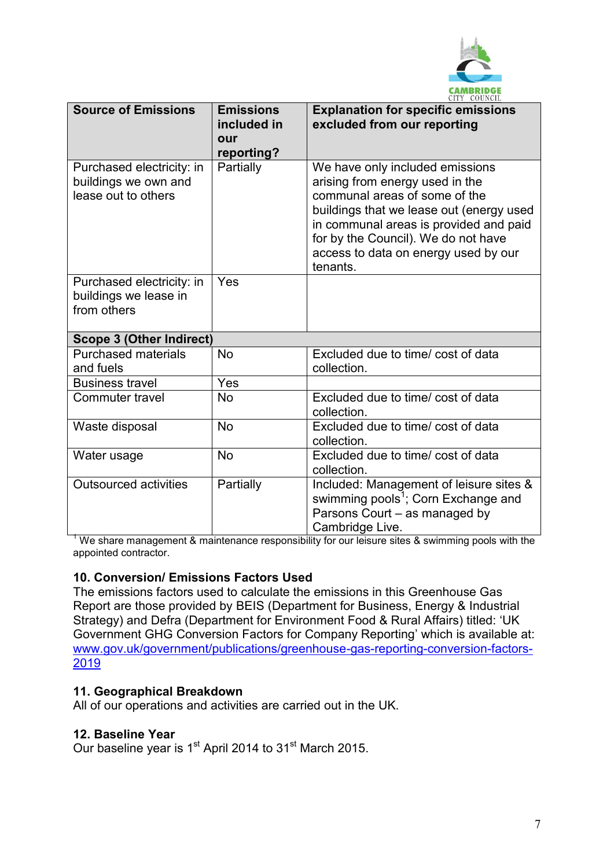

| <b>Source of Emissions</b>                                               | <b>Emissions</b><br>included in<br>our<br>reporting? | <b>Explanation for specific emissions</b><br>excluded from our reporting                                                                                                                                                                                                             |
|--------------------------------------------------------------------------|------------------------------------------------------|--------------------------------------------------------------------------------------------------------------------------------------------------------------------------------------------------------------------------------------------------------------------------------------|
| Purchased electricity: in<br>buildings we own and<br>lease out to others | Partially                                            | We have only included emissions<br>arising from energy used in the<br>communal areas of some of the<br>buildings that we lease out (energy used<br>in communal areas is provided and paid<br>for by the Council). We do not have<br>access to data on energy used by our<br>tenants. |
| Purchased electricity: in<br>buildings we lease in<br>from others        | Yes                                                  |                                                                                                                                                                                                                                                                                      |
| <b>Scope 3 (Other Indirect)</b>                                          |                                                      |                                                                                                                                                                                                                                                                                      |
| <b>Purchased materials</b><br>and fuels                                  | <b>No</b>                                            | Excluded due to time/ cost of data<br>collection.                                                                                                                                                                                                                                    |
| <b>Business travel</b>                                                   | Yes                                                  |                                                                                                                                                                                                                                                                                      |
| Commuter travel                                                          | <b>No</b>                                            | Excluded due to time/ cost of data<br>collection.                                                                                                                                                                                                                                    |
| Waste disposal                                                           | <b>No</b>                                            | Excluded due to time/ cost of data<br>collection.                                                                                                                                                                                                                                    |
| Water usage                                                              | <b>No</b>                                            | Excluded due to time/ cost of data<br>collection.                                                                                                                                                                                                                                    |
| <b>Outsourced activities</b>                                             | Partially                                            | Included: Management of leisure sites &<br>swimming pools <sup>1</sup> ; Corn Exchange and<br>Parsons Court - as managed by<br>Cambridge Live.                                                                                                                                       |

<sup>1</sup> We share management & maintenance responsibility for our leisure sites & swimming pools with the appointed contractor.

## <span id="page-6-0"></span>**10. Conversion/ Emissions Factors Used**

The emissions factors used to calculate the emissions in this Greenhouse Gas Report are those provided by BEIS (Department for Business, Energy & Industrial Strategy) and Defra (Department for Environment Food & Rural Affairs) titled: 'UK Government GHG Conversion Factors for Company Reporting' which is available at: [www.gov.uk/government/publications/greenhouse-gas-reporting-conversion-factors-](http://www.gov.uk/government/publications/greenhouse-gas-reporting-conversion-factors-2019)[2019](http://www.gov.uk/government/publications/greenhouse-gas-reporting-conversion-factors-2019)

#### <span id="page-6-1"></span>**11. Geographical Breakdown**

All of our operations and activities are carried out in the UK.

#### <span id="page-6-2"></span>**12. Baseline Year**

Our baseline year is 1<sup>st</sup> April 2014 to 31<sup>st</sup> March 2015.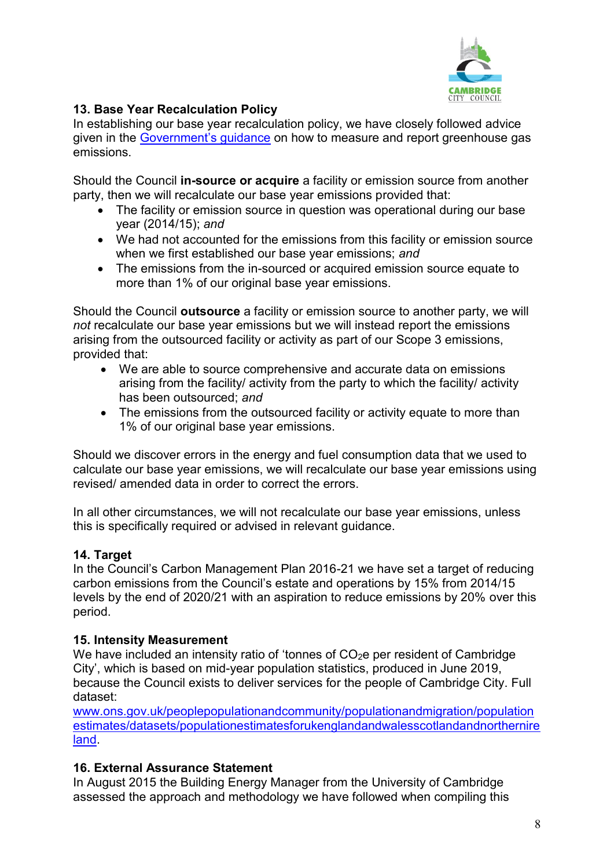

# <span id="page-7-0"></span>**13. Base Year Recalculation Policy**

In establishing our base year recalculation policy, we have closely followed advice given in the [Government's guidance](https://www.gov.uk/government/uploads/system/uploads/attachment_data/file/206392/pb13944-env-reporting-guidance.pdf) on how to measure and report greenhouse gas emissions.

Should the Council **in-source or acquire** a facility or emission source from another party, then we will recalculate our base year emissions provided that:

- The facility or emission source in question was operational during our base year (2014/15); *and*
- We had not accounted for the emissions from this facility or emission source when we first established our base year emissions; *and*
- The emissions from the in-sourced or acquired emission source equate to more than 1% of our original base year emissions.

Should the Council **outsource** a facility or emission source to another party, we will *not* recalculate our base year emissions but we will instead report the emissions arising from the outsourced facility or activity as part of our Scope 3 emissions, provided that:

- We are able to source comprehensive and accurate data on emissions arising from the facility/ activity from the party to which the facility/ activity has been outsourced; *and*
- The emissions from the outsourced facility or activity equate to more than 1% of our original base year emissions.

Should we discover errors in the energy and fuel consumption data that we used to calculate our base year emissions, we will recalculate our base year emissions using revised/ amended data in order to correct the errors.

In all other circumstances, we will not recalculate our base year emissions, unless this is specifically required or advised in relevant guidance.

# <span id="page-7-1"></span>**14. Target**

In the Council's Carbon Management Plan 2016-21 we have set a target of reducing carbon emissions from the Council's estate and operations by 15% from 2014/15 levels by the end of 2020/21 with an aspiration to reduce emissions by 20% over this period.

# <span id="page-7-2"></span>**15. Intensity Measurement**

We have included an intensity ratio of 'tonnes of  $CO<sub>2</sub>e$  per resident of Cambridge City', which is based on mid-year population statistics, produced in June 2019, because the Council exists to deliver services for the people of Cambridge City. Full dataset:

[www.ons.gov.uk/peoplepopulationandcommunity/populationandmigration/population](http://www.ons.gov.uk/peoplepopulationandcommunity/populationandmigration/populationestimates/datasets/populationestimatesforukenglandandwalesscotlandandnorthernireland) [estimates/datasets/populationestimatesforukenglandandwalesscotlandandnorthernire](http://www.ons.gov.uk/peoplepopulationandcommunity/populationandmigration/populationestimates/datasets/populationestimatesforukenglandandwalesscotlandandnorthernireland) [land.](http://www.ons.gov.uk/peoplepopulationandcommunity/populationandmigration/populationestimates/datasets/populationestimatesforukenglandandwalesscotlandandnorthernireland)

# <span id="page-7-3"></span>**16. External Assurance Statement**

In August 2015 the Building Energy Manager from the University of Cambridge assessed the approach and methodology we have followed when compiling this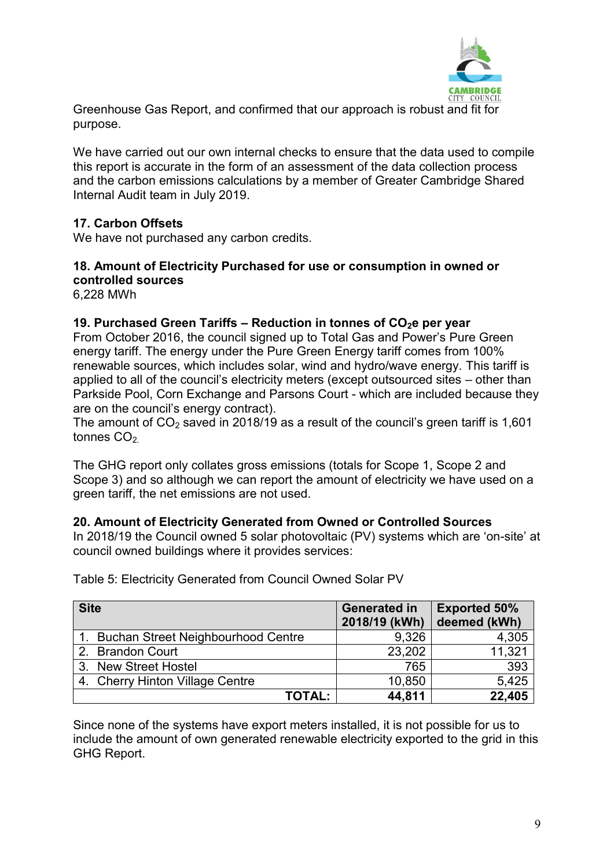

Greenhouse Gas Report, and confirmed that our approach is robust and fit for purpose.

We have carried out our own internal checks to ensure that the data used to compile this report is accurate in the form of an assessment of the data collection process and the carbon emissions calculations by a member of Greater Cambridge Shared Internal Audit team in July 2019.

## <span id="page-8-0"></span>**17. Carbon Offsets**

We have not purchased any carbon credits.

#### <span id="page-8-1"></span>**18. Amount of Electricity Purchased for use or consumption in owned or controlled sources**

6,228 MWh

#### <span id="page-8-2"></span>**19. Purchased Green Tariffs – Reduction in tonnes of CO2e per year**

From October 2016, the council signed up to Total Gas and Power's Pure Green energy tariff. The energy under the Pure Green Energy tariff comes from 100% renewable sources, which includes solar, wind and hydro/wave energy. This tariff is applied to all of the council's electricity meters (except outsourced sites – other than Parkside Pool, Corn Exchange and Parsons Court - which are included because they are on the council's energy contract).

The amount of  $CO<sub>2</sub>$  saved in 2018/19 as a result of the council's green tariff is 1,601 tonnes  $CO<sub>2</sub>$ 

The GHG report only collates gross emissions (totals for Scope 1, Scope 2 and Scope 3) and so although we can report the amount of electricity we have used on a green tariff, the net emissions are not used.

#### <span id="page-8-3"></span>**20. Amount of Electricity Generated from Owned or Controlled Sources**

In 2018/19 the Council owned 5 solar photovoltaic (PV) systems which are 'on-site' at council owned buildings where it provides services:

| <b>Site</b>                           | <b>Generated in</b><br>2018/19 (kWh) | <b>Exported 50%</b><br>deemed (kWh) |
|---------------------------------------|--------------------------------------|-------------------------------------|
| 1. Buchan Street Neighbourhood Centre | 9,326                                | 4,305                               |
| 2. Brandon Court                      | 23,202                               | 11,321                              |
| 3. New Street Hostel                  | 765                                  | 393                                 |
| 4. Cherry Hinton Village Centre       | 10,850                               | 5,425                               |
| <b>TOTAL:</b>                         | 44,811                               | 22,405                              |

<span id="page-8-4"></span>Table 5: Electricity Generated from Council Owned Solar PV

Since none of the systems have export meters installed, it is not possible for us to include the amount of own generated renewable electricity exported to the grid in this GHG Report.